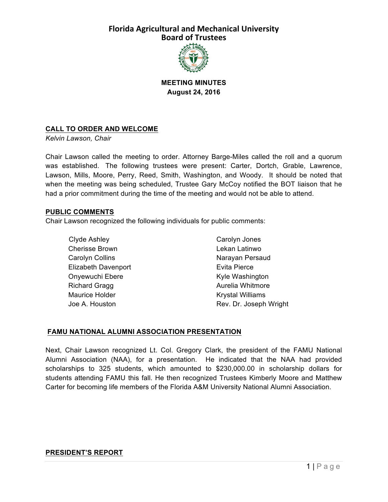

### **MEETING MINUTES August 24, 2016**

### **CALL TO ORDER AND WELCOME**

*Kelvin Lawson, Chair*

Chair Lawson called the meeting to order. Attorney Barge-Miles called the roll and a quorum was established. The following trustees were present: Carter, Dortch, Grable, Lawrence, Lawson, Mills, Moore, Perry, Reed, Smith, Washington, and Woody. It should be noted that when the meeting was being scheduled, Trustee Gary McCoy notified the BOT liaison that he had a prior commitment during the time of the meeting and would not be able to attend.

#### **PUBLIC COMMENTS**

Chair Lawson recognized the following individuals for public comments:

Clyde Ashley Cherisse Brown Carolyn Collins Elizabeth Davenport Onyewuchi Ebere Richard Gragg Maurice Holder Joe A. Houston

Carolyn Jones Lekan Latinwo Narayan Persaud Evita Pierce Kyle Washington Aurelia Whitmore Krystal Williams Rev. Dr. Joseph Wright

#### **FAMU NATIONAL ALUMNI ASSOCIATION PRESENTATION**

Next, Chair Lawson recognized Lt. Col. Gregory Clark, the president of the FAMU National Alumni Association (NAA), for a presentation. He indicated that the NAA had provided scholarships to 325 students, which amounted to \$230,000.00 in scholarship dollars for students attending FAMU this fall. He then recognized Trustees Kimberly Moore and Matthew Carter for becoming life members of the Florida A&M University National Alumni Association.

#### **PRESIDENT'S REPORT**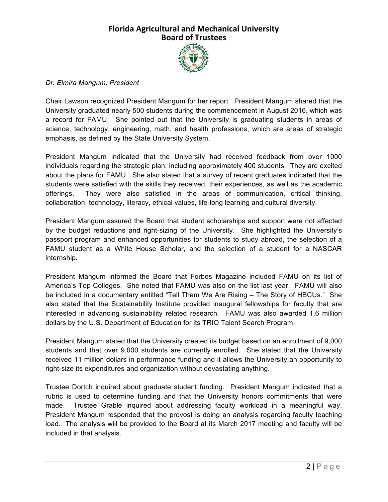

#### *Dr. Elmira Mangum, President*

Chair Lawson recognized President Mangum for her report. President Mangum shared that the University graduated nearly 500 students during the commencement in August 2016, which was a record for FAMU. She pointed out that the University is graduating students in areas of science, technology, engineering, math, and health professions, which are areas of strategic emphasis, as defined by the State University System.

President Mangum indicated that the University had received feedback from over 1000 individuals regarding the strategic plan, including approximately 400 students. They are excited about the plans for FAMU. She also stated that a survey of recent graduates indicated that the students were satisfied with the skills they received, their experiences, as well as the academic offerings. They were also satisfied in the areas of communication, critical thinking, collaboration, technology, literacy, ethical values, life-long learning and cultural diversity.

President Mangum assured the Board that student scholarships and support were not affected by the budget reductions and right-sizing of the University. She highlighted the University's passport program and enhanced opportunities for students to study abroad, the selection of a FAMU student as a White House Scholar, and the selection of a student for a NASCAR internship.

President Mangum informed the Board that Forbes Magazine included FAMU on its list of America's Top Colleges. She noted that FAMU was also on the list last year. FAMU will also be included in a documentary entitled "Tell Them We Are Rising – The Story of HBCUs." She also stated that the Sustainability Institute provided inaugural fellowships for faculty that are interested in advancing sustainability related research. FAMU was also awarded 1.6 million dollars by the U.S. Department of Education for its TRIO Talent Search Program.

President Mangum stated that the University created its budget based on an enrollment of 9,000 students and that over 9,000 students are currently enrolled. She stated that the University received 11 million dollars in performance funding and it allows the University an opportunity to right-size its expenditures and organization without devastating anything.

Trustee Dortch inquired about graduate student funding. President Mangum indicated that a rubric is used to determine funding and that the University honors commitments that were made. Trustee Grable inquired about addressing faculty workload in a meaningful way. President Mangum responded that the provost is doing an analysis regarding faculty teaching load. The analysis will be provided to the Board at its March 2017 meeting and faculty will be included in that analysis.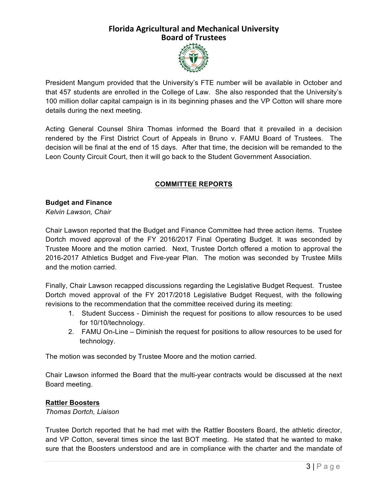

President Mangum provided that the University's FTE number will be available in October and that 457 students are enrolled in the College of Law. She also responded that the University's 100 million dollar capital campaign is in its beginning phases and the VP Cotton will share more details during the next meeting.

Acting General Counsel Shira Thomas informed the Board that it prevailed in a decision rendered by the First District Court of Appeals in Bruno v. FAMU Board of Trustees. The decision will be final at the end of 15 days. After that time, the decision will be remanded to the Leon County Circuit Court, then it will go back to the Student Government Association.

### **COMMITTEE REPORTS**

# **Budget and Finance**

*Kelvin Lawson, Chair*

Chair Lawson reported that the Budget and Finance Committee had three action items. Trustee Dortch moved approval of the FY 2016/2017 Final Operating Budget. It was seconded by Trustee Moore and the motion carried. Next, Trustee Dortch offered a motion to approval the 2016-2017 Athletics Budget and Five-year Plan. The motion was seconded by Trustee Mills and the motion carried.

Finally, Chair Lawson recapped discussions regarding the Legislative Budget Request. Trustee Dortch moved approval of the FY 2017/2018 Legislative Budget Request, with the following revisions to the recommendation that the committee received during its meeting:

- 1. Student Success Diminish the request for positions to allow resources to be used for 10/10/technology.
- 2. FAMU On-Line Diminish the request for positions to allow resources to be used for technology.

The motion was seconded by Trustee Moore and the motion carried.

Chair Lawson informed the Board that the multi-year contracts would be discussed at the next Board meeting.

#### **Rattler Boosters**

*Thomas Dortch, Liaison*

Trustee Dortch reported that he had met with the Rattler Boosters Board, the athletic director, and VP Cotton, several times since the last BOT meeting. He stated that he wanted to make sure that the Boosters understood and are in compliance with the charter and the mandate of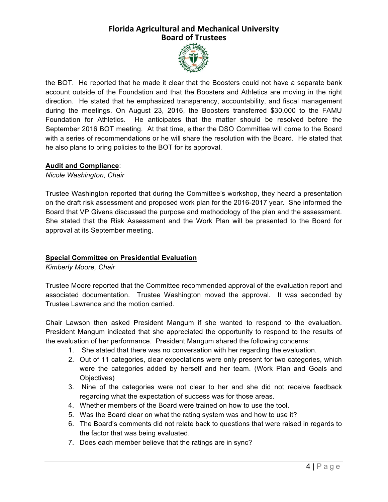

the BOT. He reported that he made it clear that the Boosters could not have a separate bank account outside of the Foundation and that the Boosters and Athletics are moving in the right direction. He stated that he emphasized transparency, accountability, and fiscal management during the meetings. On August 23, 2016, the Boosters transferred \$30,000 to the FAMU Foundation for Athletics. He anticipates that the matter should be resolved before the September 2016 BOT meeting. At that time, either the DSO Committee will come to the Board with a series of recommendations or he will share the resolution with the Board. He stated that he also plans to bring policies to the BOT for its approval.

### **Audit and Compliance**:

*Nicole Washington, Chair*

Trustee Washington reported that during the Committee's workshop, they heard a presentation on the draft risk assessment and proposed work plan for the 2016-2017 year. She informed the Board that VP Givens discussed the purpose and methodology of the plan and the assessment. She stated that the Risk Assessment and the Work Plan will be presented to the Board for approval at its September meeting.

### **Special Committee on Presidential Evaluation**

*Kimberly Moore, Chair*

Trustee Moore reported that the Committee recommended approval of the evaluation report and associated documentation. Trustee Washington moved the approval. It was seconded by Trustee Lawrence and the motion carried.

Chair Lawson then asked President Mangum if she wanted to respond to the evaluation. President Mangum indicated that she appreciated the opportunity to respond to the results of the evaluation of her performance. President Mangum shared the following concerns:

- 1. She stated that there was no conversation with her regarding the evaluation.
- 2. Out of 11 categories, clear expectations were only present for two categories, which were the categories added by herself and her team. (Work Plan and Goals and Objectives)
- 3. Nine of the categories were not clear to her and she did not receive feedback regarding what the expectation of success was for those areas.
- 4. Whether members of the Board were trained on how to use the tool.
- 5. Was the Board clear on what the rating system was and how to use it?
- 6. The Board's comments did not relate back to questions that were raised in regards to the factor that was being evaluated.
- 7. Does each member believe that the ratings are in sync?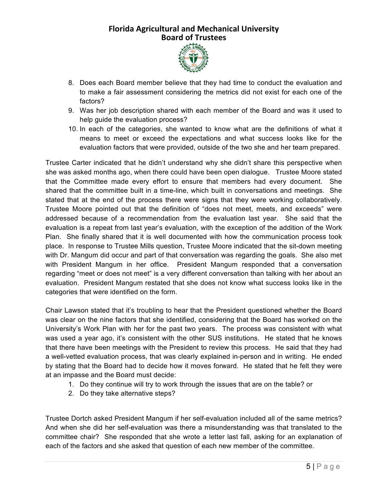

- 8. Does each Board member believe that they had time to conduct the evaluation and to make a fair assessment considering the metrics did not exist for each one of the factors?
- 9. Was her job description shared with each member of the Board and was it used to help guide the evaluation process?
- 10. In each of the categories, she wanted to know what are the definitions of what it means to meet or exceed the expectations and what success looks like for the evaluation factors that were provided, outside of the two she and her team prepared.

Trustee Carter indicated that he didn't understand why she didn't share this perspective when she was asked months ago, when there could have been open dialogue. Trustee Moore stated that the Committee made every effort to ensure that members had every document. She shared that the committee built in a time-line, which built in conversations and meetings. She stated that at the end of the process there were signs that they were working collaboratively. Trustee Moore pointed out that the definition of "does not meet, meets, and exceeds" were addressed because of a recommendation from the evaluation last year. She said that the evaluation is a repeat from last year's evaluation, with the exception of the addition of the Work Plan. She finally shared that it is well documented with how the communication process took place. In response to Trustee Mills question, Trustee Moore indicated that the sit-down meeting with Dr. Mangum did occur and part of that conversation was regarding the goals. She also met with President Mangum in her office. President Mangum responded that a conversation regarding "meet or does not meet" is a very different conversation than talking with her about an evaluation. President Mangum restated that she does not know what success looks like in the categories that were identified on the form.

Chair Lawson stated that it's troubling to hear that the President questioned whether the Board was clear on the nine factors that she identified, considering that the Board has worked on the University's Work Plan with her for the past two years. The process was consistent with what was used a year ago, it's consistent with the other SUS institutions. He stated that he knows that there have been meetings with the President to review this process. He said that they had a well-vetted evaluation process, that was clearly explained in-person and in writing. He ended by stating that the Board had to decide how it moves forward. He stated that he felt they were at an impasse and the Board must decide:

- 1. Do they continue will try to work through the issues that are on the table? or
- 2. Do they take alternative steps?

Trustee Dortch asked President Mangum if her self-evaluation included all of the same metrics? And when she did her self-evaluation was there a misunderstanding was that translated to the committee chair? She responded that she wrote a letter last fall, asking for an explanation of each of the factors and she asked that question of each new member of the committee.